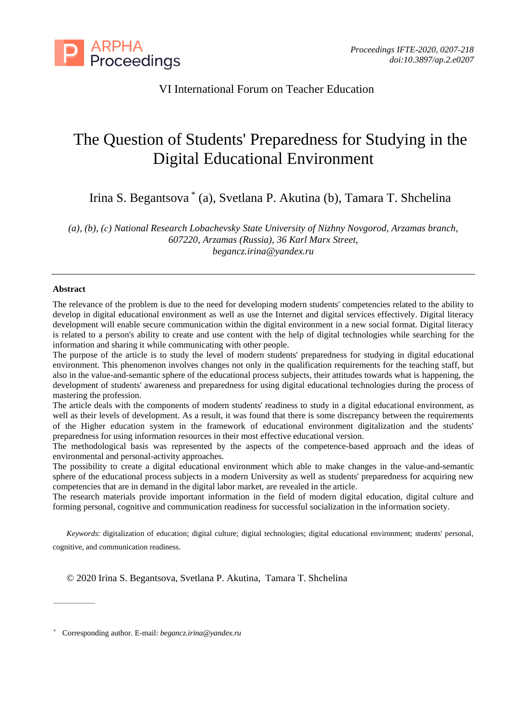

# VI International Forum on Teacher Education

# The Question of Students' Preparedness for Studying in the Digital Educational Environment

Irina S. Begantsova \* (a), Svetlana P. Akutina (b), Tamara T. Shchelina

*(a), (b), (с) National Research Lobachevsky State University of Nizhny Novgorod, Arzamas branch, 607220, Arzamas (Russia), 36 Karl Marx Street, begancz.irina@yandex.ru*

#### **Abstract**

The relevance of the problem is due to the need for developing modern students' competencies related to the ability to develop in digital educational environment as well as use the Internet and digital services effectively. Digital literacy development will enable secure communication within the digital environment in a new social format. Digital literacy is related to a person's ability to create and use content with the help of digital technologies while searching for the information and sharing it while communicating with other people.

The purpose of the article is to study the level of modern students' preparedness for studying in digital educational environment. This phenomenon involves changes not only in the qualification requirements for the teaching staff, but also in the value-and-semantic sphere of the educational process subjects, their attitudes towards what is happening, the development of students' awareness and preparedness for using digital educational technologies during the process of mastering the profession.

The article deals with the components of modern students' readiness to study in a digital educational environment, as well as their levels of development. As a result, it was found that there is some discrepancy between the requirements of the Higher education system in the framework of educational environment digitalization and the students' preparedness for using information resources in their most effective educational version.

The methodological basis was represented by the aspects of the competence-based approach and the ideas of environmental and personal-activity approaches.

The possibility to create a digital educational environment which able to make changes in the value-and-semantic sphere of the educational process subjects in a modern University as well as students' preparedness for acquiring new competencies that are in demand in the digital labor market, are revealed in the article.

The research materials provide important information in the field of modern digital education, digital culture and forming personal, cognitive and communication readiness for successful socialization in the information society.

*Keywords*: digitalization of education; digital culture; digital technologies; digital educational environment; students' personal, cognitive, and communication readiness.

© 2020 Irina S. Begantsova, Svetlana P. Akutina, Tamara T. Shchelina

<sup>\*</sup> Corresponding author. E-mail: *begancz.irina@yandex.ru*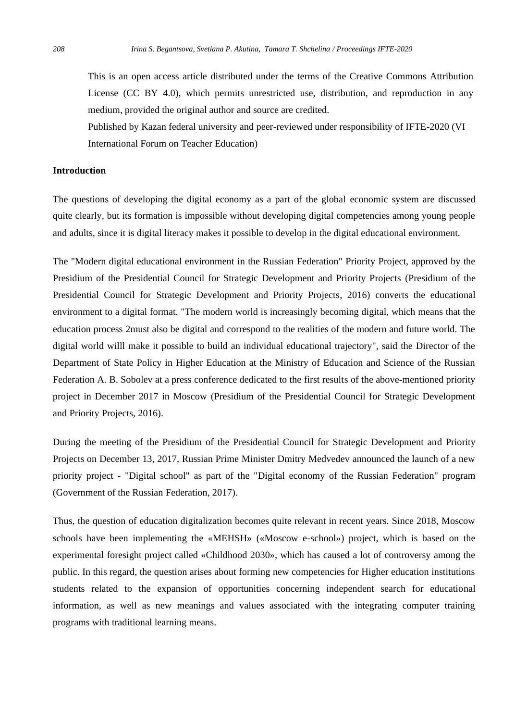This is an open access article distributed under the terms of the Creative Commons Attribution License (CC BY 4.0), which permits unrestricted use, distribution, and reproduction in any medium, provided the original author and source are credited.

Published by Kazan federal university and peer-reviewed under responsibility of IFTE-2020 (VI International Forum on Teacher Education)

#### **Introduction**

The questions of developing the digital economy as a part of the global economic system are discussed quite clearly, but its formation is impossible without developing digital competencies among young people and adults, since it is digital literacy makes it possible to develop in the digital educational environment.

The "Modern digital educational environment in the Russian Federation" Priority Project, approved by the Presidium of the Presidential Council for Strategic Development and Priority Projects (Presidium of the Presidential Council for Strategic Development and Priority Projects, 2016) converts the educational environment to a digital format. "The modern world is increasingly becoming digital, which means that the education process 2must also be digital and correspond to the realities of the modern and future world. The digital world willl make it possible to build an individual educational trajectory", said the Director of the Department of State Policy in Higher Education at the Ministry of Education and Science of the Russian Federation A. B. Sobolev at a press conference dedicated to the first results of the above-mentioned priority project in December 2017 in Moscow (Presidium of the Presidential Council for Strategic Development and Priority Projects, 2016).

During the meeting of the Presidium of the Presidential Council for Strategic Development and Priority Projects on December 13, 2017, Russian Prime Minister Dmitry Medvedev announced the launch of a new priority project - "Digital school" as part of the "Digital economy of the Russian Federation" program (Government of the Russian Federation, 2017).

Thus, the question of education digitalization becomes quite relevant in recent years. Since 2018, Moscow schools have been implementing the «MEHSH» («Moscow e-school») project, which is based on the experimental foresight project called «Childhood 2030», which has caused a lot of controversy among the public. In this regard, the question arises about forming new competencies for Higher education institutions students related to the expansion of opportunities concerning independent search for educational information, as well as new meanings and values associated with the integrating computer training programs with traditional learning means.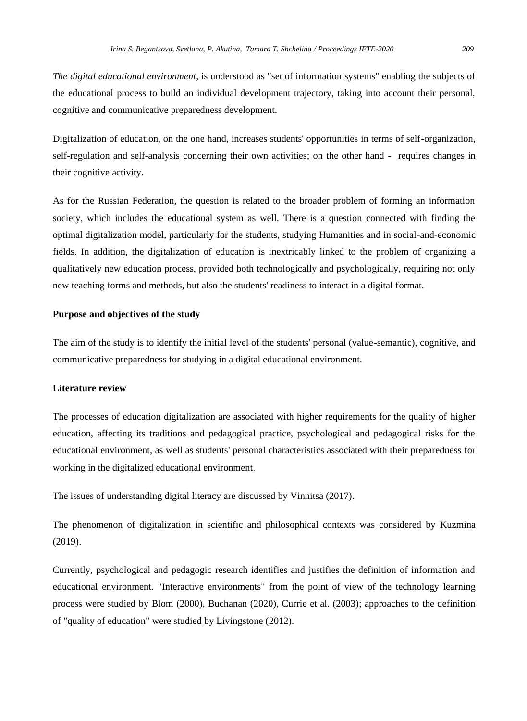*The digital educational environment*, is understood as "set of information systems" enabling the subjects of the educational process to build an individual development trajectory, taking into account their personal, cognitive and communicative preparedness development.

Digitalization of education, on the one hand, increases students' opportunities in terms of self-organization, self-regulation and self-analysis concerning their own activities; on the other hand - requires changes in their cognitive activity.

As for the Russian Federation, the question is related to the broader problem of forming an information society, which includes the educational system as well. There is a question connected with finding the optimal digitalization model, particularly for the students, studying Humanities and in social-and-economic fields. In addition, the digitalization of education is inextricably linked to the problem of organizing a qualitatively new education process, provided both technologically and psychologically, requiring not only new teaching forms and methods, but also the students' readiness to interact in a digital format.

### **Purpose and objectives of the study**

The aim of the study is to identify the initial level of the students' personal (value-semantic), cognitive, and communicative preparedness for studying in a digital educational environment.

#### **Literature review**

The processes of education digitalization are associated with higher requirements for the quality of higher education, affecting its traditions and pedagogical practice, psychological and pedagogical risks for the educational environment, as well as students' personal characteristics associated with their preparedness for working in the digitalized educational environment.

The issues of understanding digital literacy are discussed by Vinnitsa (2017).

The phenomenon of digitalization in scientific and philosophical contexts was considered by Kuzmina (2019).

Currently, psychological and pedagogic research identifies and justifies the definition of information and educational environment. "Interactive environments" from the point of view of the technology learning process were studied by Blom (2000), Buchanan (2020), Currie et al. (2003); approaches to the definition of "quality of education" were studied by Livingstone (2012).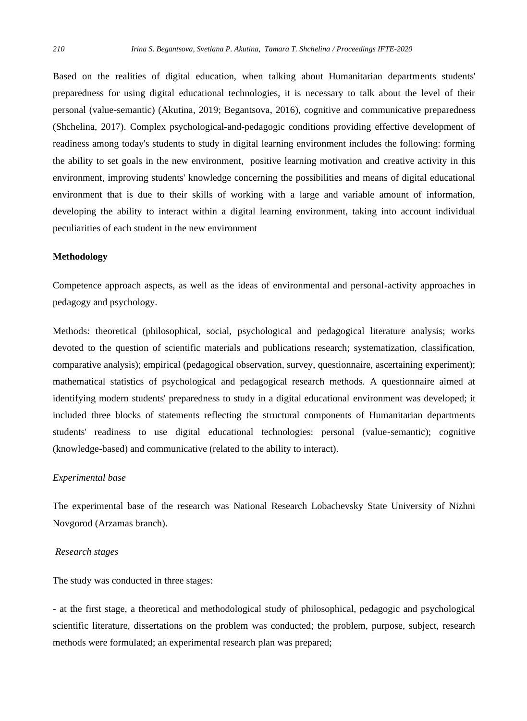Based on the realities of digital education, when talking about Humanitarian departments students' preparedness for using digital educational technologies, it is necessary to talk about the level of their personal (value-semantic) (Akutina, 2019; Begantsova, 2016), cognitive and communicative preparedness (Shchelina, 2017). Complex psychological-and-pedagogic conditions providing effective development of readiness among today's students to study in digital learning environment includes the following: forming the ability to set goals in the new environment, positive learning motivation and creative activity in this environment, improving students' knowledge concerning the possibilities and means of digital educational environment that is due to their skills of working with a large and variable amount of information, developing the ability to interact within a digital learning environment, taking into account individual peculiarities of each student in the new environment

#### **Methodology**

Competence approach aspects, as well as the ideas of environmental and personal-activity approaches in pedagogy and psychology.

Methods: theoretical (philosophical, social, psychological and pedagogical literature analysis; works devoted to the question of scientific materials and publications research; systematization, classification, comparative analysis); empirical (pedagogical observation, survey, questionnaire, ascertaining experiment); mathematical statistics of psychological and pedagogical research methods. A questionnaire aimed at identifying modern students' preparedness to study in a digital educational environment was developed; it included three blocks of statements reflecting the structural components of Humanitarian departments students' readiness to use digital educational technologies: personal (value-semantic); cognitive (knowledge-based) and communicative (related to the ability to interact).

#### *Experimental base*

The experimental base of the research was National Research Lobachevsky State University of Nizhni Novgorod (Arzamas branch).

#### *Research stages*

The study was conducted in three stages:

- at the first stage, a theoretical and methodological study of philosophical, pedagogic and psychological scientific literature, dissertations on the problem was conducted; the problem, purpose, subject, research methods were formulated; an experimental research plan was prepared;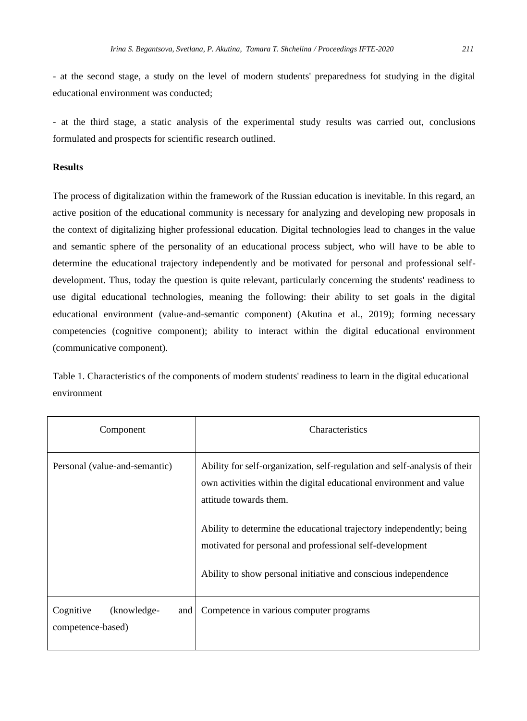- at the second stage, a study on the level of modern students' preparedness fot studying in the digital educational environment was conducted;

- at the third stage, a static analysis of the experimental study results was carried out, conclusions formulated and prospects for scientific research outlined.

# **Results**

The process of digitalization within the framework of the Russian education is inevitable. In this regard, an active position of the educational community is necessary for analyzing and developing new proposals in the context of digitalizing higher professional education. Digital technologies lead to changes in the value and semantic sphere of the personality of an educational process subject, who will have to be able to determine the educational trajectory independently and be motivated for personal and professional selfdevelopment. Thus, today the question is quite relevant, particularly concerning the students' readiness to use digital educational technologies, meaning the following: their ability to set goals in the digital educational environment (value-and-semantic component) (Akutina et al., 2019); forming necessary competencies (cognitive component); ability to interact within the digital educational environment (communicative component).

Table 1. Characteristics of the components of modern students' readiness to learn in the digital educational environment

| Component                                            | Characteristics                                                                                                                                                                                                                                                                                                                                                                  |  |
|------------------------------------------------------|----------------------------------------------------------------------------------------------------------------------------------------------------------------------------------------------------------------------------------------------------------------------------------------------------------------------------------------------------------------------------------|--|
| Personal (value-and-semantic)                        | Ability for self-organization, self-regulation and self-analysis of their<br>own activities within the digital educational environment and value<br>attitude towards them.<br>Ability to determine the educational trajectory independently; being<br>motivated for personal and professional self-development<br>Ability to show personal initiative and conscious independence |  |
| Cognitive<br>(knowledge-<br>and<br>competence-based) | Competence in various computer programs                                                                                                                                                                                                                                                                                                                                          |  |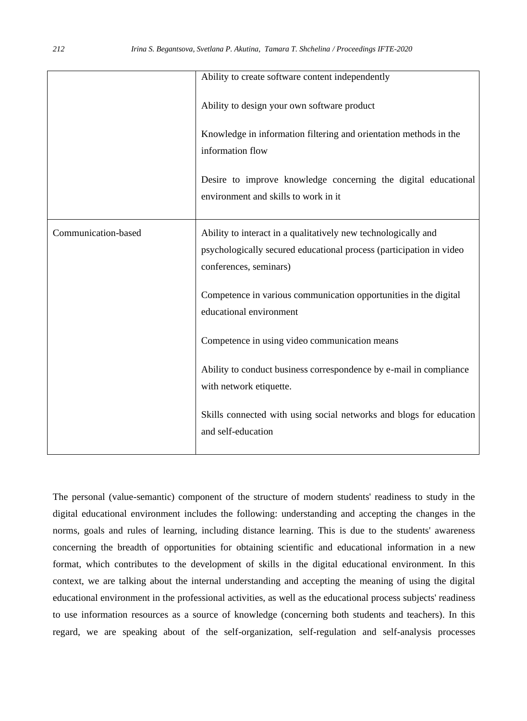|                     | Ability to create software content independently                                                                                                                                                                                               |
|---------------------|------------------------------------------------------------------------------------------------------------------------------------------------------------------------------------------------------------------------------------------------|
|                     | Ability to design your own software product<br>Knowledge in information filtering and orientation methods in the<br>information flow<br>Desire to improve knowledge concerning the digital educational<br>environment and skills to work in it |
|                     |                                                                                                                                                                                                                                                |
| Communication-based | Ability to interact in a qualitatively new technologically and                                                                                                                                                                                 |
|                     | psychologically secured educational process (participation in video                                                                                                                                                                            |
|                     | conferences, seminars)                                                                                                                                                                                                                         |
|                     | Competence in various communication opportunities in the digital<br>educational environment                                                                                                                                                    |
|                     | Competence in using video communication means                                                                                                                                                                                                  |
|                     | Ability to conduct business correspondence by e-mail in compliance                                                                                                                                                                             |
|                     | with network etiquette.                                                                                                                                                                                                                        |
|                     | Skills connected with using social networks and blogs for education                                                                                                                                                                            |
|                     | and self-education                                                                                                                                                                                                                             |
|                     |                                                                                                                                                                                                                                                |

The personal (value-semantic) component of the structure of modern students' readiness to study in the digital educational environment includes the following: understanding and accepting the changes in the norms, goals and rules of learning, including distance learning. This is due to the students' awareness concerning the breadth of opportunities for obtaining scientific and educational information in a new format, which contributes to the development of skills in the digital educational environment. In this context, we are talking about the internal understanding and accepting the meaning of using the digital educational environment in the professional activities, as well as the educational process subjects' readiness to use information resources as a source of knowledge (concerning both students and teachers). In this regard, we are speaking about of the self-organization, self-regulation and self-analysis processes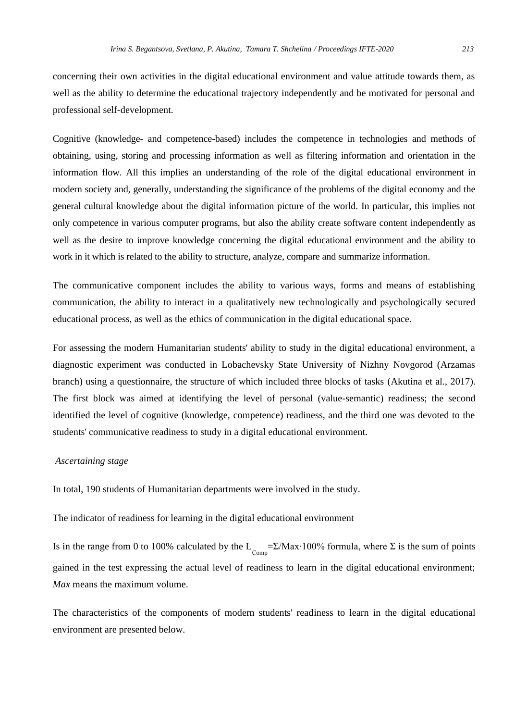concerning their own activities in the digital educational environment and value attitude towards them, as well as the ability to determine the educational trajectory independently and be motivated for personal and professional self-development.

Cognitive (knowledge- and competence-based) includes the competence in technologies and methods of obtaining, using, storing and processing information as well as filtering information and orientation in the information flow. All this implies an understanding of the role of the digital educational environment in modern society and, generally, understanding the significance of the problems of the digital economy and the general cultural knowledge about the digital information picture of the world. In particular, this implies not only competence in various computer programs, but also the ability create software content independently as well as the desire to improve knowledge concerning the digital educational environment and the ability to work in it which is related to the ability to structure, analyze, compare and summarize information.

The communicative component includes the ability to various ways, forms and means of establishing communication, the ability to interact in a qualitatively new technologically and psychologically secured educational process, as well as the ethics of communication in the digital educational space.

For assessing the modern Humanitarian students' ability to study in the digital educational environment, a diagnostic experiment was conducted in Lobachevsky State University of Nizhny Novgorod (Arzamas branch) using a questionnaire, the structure of which included three blocks of tasks (Akutina et al., 2017). The first block was aimed at identifying the level of personal (value-semantic) readiness; the second identified the level of cognitive (knowledge, competence) readiness, and the third one was devoted to the students' communicative readiness to study in a digital educational environment.

#### *Ascertaining stage*

In total, 190 students of Humanitarian departments were involved in the study.

The indicator of readiness for learning in the digital educational environment

Is in the range from 0 to 100% calculated by the  $L_{\text{Comp}} = \Sigma / \text{Max} \cdot 100\%$  formula, where  $\Sigma$  is the sum of points gained in the test expressing the actual level of readiness to learn in the digital educational environment; *Max* means the maximum volume.

The characteristics of the components of modern students' readiness to learn in the digital educational environment are presented below.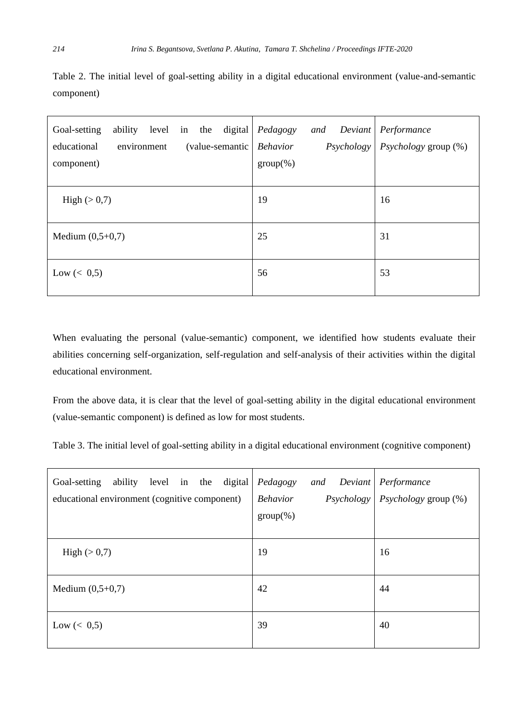Table 2. The initial level of goal-setting ability in a digital educational environment (value-and-semantic component)

| ability<br>level in the<br>digital<br>Goal-setting<br>educational<br>environment<br>(value-semantic Behavior<br>component) | Pedagogy<br>and<br>Deviant<br><i>Psychology</i><br>$group(\%)$ | Performance<br><i>Psychology</i> group (%) |
|----------------------------------------------------------------------------------------------------------------------------|----------------------------------------------------------------|--------------------------------------------|
| High $(>0,7)$                                                                                                              | 19                                                             | 16                                         |
| Medium $(0,5+0,7)$                                                                                                         | 25                                                             | 31                                         |
| Low $(< 0.5)$                                                                                                              | 56                                                             | 53                                         |

When evaluating the personal (value-semantic) component, we identified how students evaluate their abilities concerning self-organization, self-regulation and self-analysis of their activities within the digital educational environment.

From the above data, it is clear that the level of goal-setting ability in the digital educational environment (value-semantic component) is defined as low for most students.

Table 3. The initial level of goal-setting ability in a digital educational environment (cognitive component)

| digital<br>ability level in the<br>Goal-setting<br>educational environment (cognitive component) | Pedagogy<br>and Deviant<br><b>Behavior</b><br>$group(\%)$ | Performance<br>$Psychology \nvert \nPsychology \ngroup (\n% )$ |
|--------------------------------------------------------------------------------------------------|-----------------------------------------------------------|----------------------------------------------------------------|
| High $(>0,7)$                                                                                    | 19                                                        | 16                                                             |
| Medium $(0,5+0,7)$                                                                               | 42                                                        | 44                                                             |
| Low $(< 0.5)$                                                                                    | 39                                                        | 40                                                             |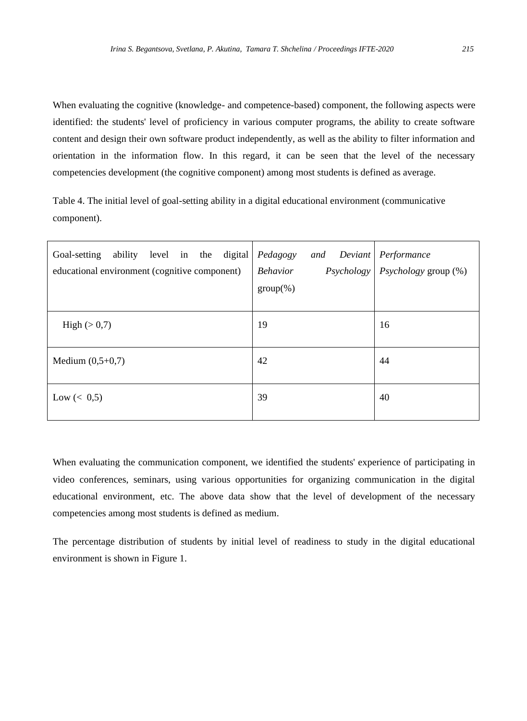When evaluating the cognitive (knowledge- and competence-based) component, the following aspects were identified: the students' level of proficiency in various computer programs, the ability to create software content and design their own software product independently, as well as the ability to filter information and orientation in the information flow. In this regard, it can be seen that the level of the necessary competencies development (the cognitive component) among most students is defined as average.

Table 4. The initial level of goal-setting ability in a digital educational environment (communicative component).

| digital<br>Goal-setting<br>ability level in the<br>educational environment (cognitive component) | Pedagogy<br>and<br>Deviant<br><b>Behavior</b><br>Psychology<br>$group(\%)$ | Performance<br>Psychology group (%) |
|--------------------------------------------------------------------------------------------------|----------------------------------------------------------------------------|-------------------------------------|
| High $(>0,7)$                                                                                    | 19                                                                         | 16                                  |
| Medium $(0,5+0,7)$                                                                               | 42                                                                         | 44                                  |
| Low $(< 0.5)$                                                                                    | 39                                                                         | 40                                  |

When evaluating the communication component, we identified the students' experience of participating in video conferences, seminars, using various opportunities for organizing communication in the digital educational environment, etc. The above data show that the level of development of the necessary competencies among most students is defined as medium.

The percentage distribution of students by initial level of readiness to study in the digital educational environment is shown in Figure 1.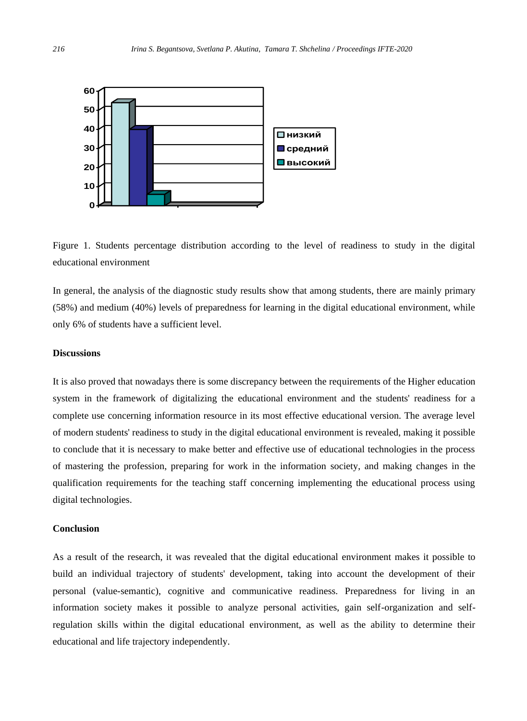

Figure 1. Students percentage distribution according to the level of readiness to study in the digital educational environment

In general, the analysis of the diagnostic study results show that among students, there are mainly primary (58%) and medium (40%) levels of preparedness for learning in the digital educational environment, while only 6% of students have a sufficient level.

## **Discussions**

It is also proved that nowadays there is some discrepancy between the requirements of the Higher education system in the framework of digitalizing the educational environment and the students' readiness for a complete use concerning information resource in its most effective educational version. The average level of modern students' readiness to study in the digital educational environment is revealed, making it possible to conclude that it is necessary to make better and effective use of educational technologies in the process of mastering the profession, preparing for work in the information society, and making changes in the qualification requirements for the teaching staff concerning implementing the educational process using digital technologies.

#### **Conclusion**

As a result of the research, it was revealed that the digital educational environment makes it possible to build an individual trajectory of students' development, taking into account the development of their personal (value-semantic), cognitive and communicative readiness. Preparedness for living in an information society makes it possible to analyze personal activities, gain self-organization and selfregulation skills within the digital educational environment, as well as the ability to determine their educational and life trajectory independently.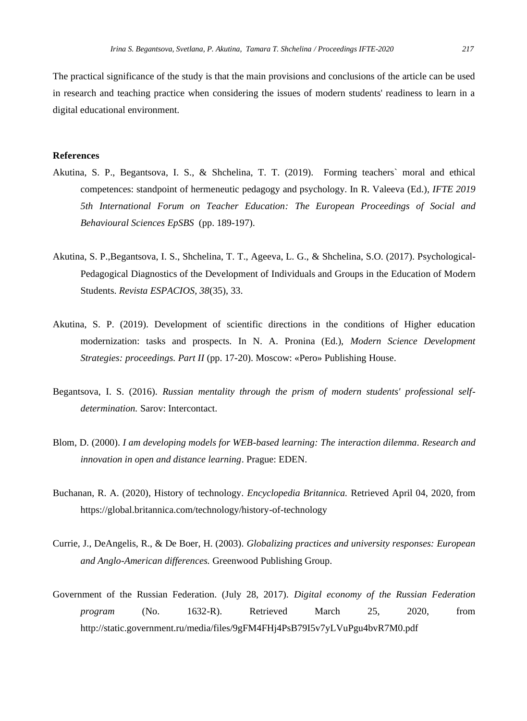The practical significance of the study is that the main provisions and conclusions of the article can be used in research and teaching practice when considering the issues of modern students' readiness to learn in a digital educational environment.

#### **References**

- Akutina, S. P., Begantsova, I. S., & Shchelina, T. T. (2019). Forming teachers` moral and ethical competences: standpoint of hermeneutic pedagogy and psychology. In R. Valeeva (Ed.), *IFTE 2019 5th International Forum on Teacher Education: The European Proceedings of Social and Behavioural Sciences EpSBS* (pp. 189-197).
- Akutina, S. P.,Begantsova, I. S., Shchelina, T. T., Ageeva, L. G., & Shchelina, S.O. (2017). Psychological-Pedagogical Diagnostics of the Development of Individuals and Groups in the Education of Modern Students. *Revista ESPACIOS, 38*(35), 33.
- Akutina, S. P. (2019). Development of scientific directions in the conditions of Higher education modernization: tasks and prospects. In N. A. Pronina (Ed.), *Modern Science Development Strategies: proceedings. Part II* (pp. 17-20). Moscow: «Pero» Publishing House.
- Begantsova, I. S. (2016). *Russian mentality through the prism of modern students' professional selfdetermination.* Sarov: Intercontact.
- Blom, D. (2000). *I am developing models for WEB-based learning: The interaction dilemma. Research and innovation in open and distance learning*. Prague: EDEN.
- Buchanan, R. A. (2020), History of technology. *Encyclopedia Britannica.* Retrieved April 04, 2020, from https://global.britannica.com/technology/history-of-technology
- Currie, J., DeAngelis, R., & De Boer, H. (2003). *Globalizing practices and university responses: European and Anglo-American differences.* Greenwood Publishing Group.
- Government of the Russian Federation. (July 28, 2017). *Digital economy of the Russian Federation program* (No. 1632-R). Retrieved March 25, 2020, from <http://static.government.ru/media/files/9gFM4FHj4PsB79I5v7yLVuPgu4bvR7M0.pdf>